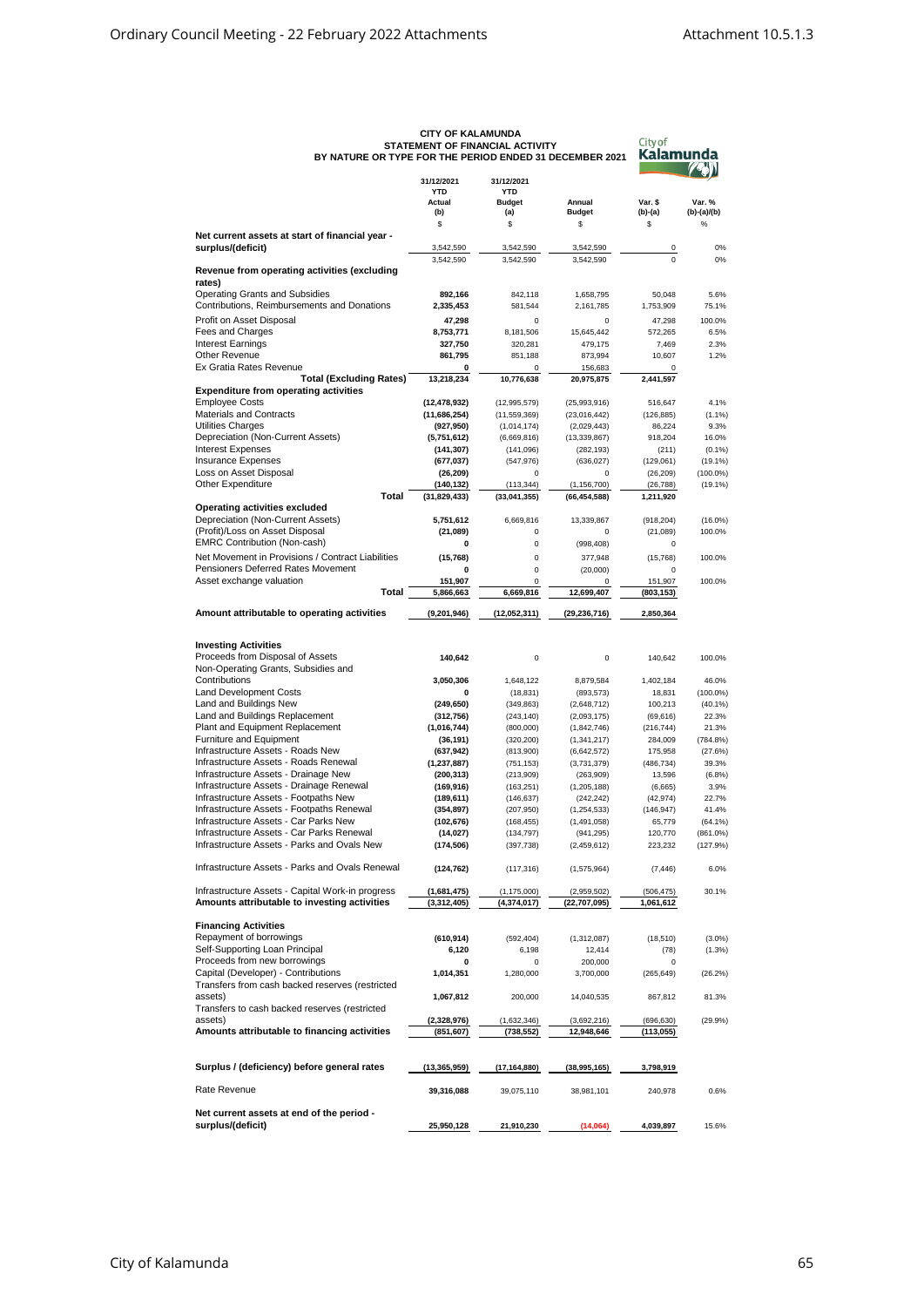| BY NATURE OR TYPE FOR THE PERIOD ENDED 31 DECEMBER 2021                                          | <b>UIII UF NALAWUNDA</b><br>STATEMENT OF FINANCIAL ACTIVITY | City of<br>Kalamunda             |                                 |                         |                       |
|--------------------------------------------------------------------------------------------------|-------------------------------------------------------------|----------------------------------|---------------------------------|-------------------------|-----------------------|
|                                                                                                  | 31/12/2021<br><b>YTD</b>                                    | 31/12/2021<br><b>YTD</b>         |                                 |                         |                       |
|                                                                                                  | Actual                                                      | <b>Budget</b>                    | Annual                          | Var. \$                 | Var. %                |
|                                                                                                  | (b)<br>\$                                                   | (a)<br>\$                        | <b>Budget</b><br>\$             | $(b)-(a)$<br>\$         | $(b)-(a)/(b)$<br>$\%$ |
| Net current assets at start of financial year -                                                  |                                                             |                                  |                                 |                         |                       |
| surplus/(deficit)                                                                                | 3,542,590                                                   | 3,542,590                        | 3,542,590                       | 0<br>$\Omega$           | 0%                    |
| Revenue from operating activities (excluding<br>rates)                                           | 3,542,590                                                   | 3,542,590                        | 3,542,590                       |                         | 0%                    |
| <b>Operating Grants and Subsidies</b>                                                            | 892,166                                                     | 842,118                          | 1,658,795                       | 50,048                  | 5.6%                  |
| Contributions, Reimbursements and Donations                                                      | 2,335,453                                                   | 581,544                          | 2,161,785                       | 1,753,909               | 75.1%                 |
| Profit on Asset Disposal                                                                         | 47,298                                                      | $\Omega$                         | 0                               | 47,298                  | 100.0%                |
| Fees and Charges                                                                                 | 8,753,771                                                   | 8,181,506                        | 15,645,442                      | 572,265                 | 6.5%                  |
| <b>Interest Earnings</b><br>Other Revenue                                                        | 327,750<br>861,795                                          | 320,281<br>851,188               | 479,175<br>873,994              | 7,469<br>10,607         | 2.3%<br>1.2%          |
| Ex Gratia Rates Revenue                                                                          | 0                                                           | 0                                | 156,683                         | 0                       |                       |
| <b>Total (Excluding Rates)</b>                                                                   | 13,218,234                                                  | 10,776,638                       | 20,975,875                      | 2,441,597               |                       |
| <b>Expenditure from operating activities</b>                                                     |                                                             |                                  |                                 |                         |                       |
| <b>Employee Costs</b><br><b>Materials and Contracts</b>                                          | (12, 478, 932)                                              | (12, 995, 579)<br>(11, 559, 369) | (25,993,916)<br>(23,016,442)    | 516,647                 | 4.1%                  |
| Utilities Charges                                                                                | (11,686,254)<br>(927, 950)                                  | (1,014,174)                      | (2,029,443)                     | (126, 885)<br>86,224    | (1.1%<br>9.3%         |
| Depreciation (Non-Current Assets)                                                                | (5,751,612)                                                 | (6,669,816)                      | (13, 339, 867)                  | 918,204                 | 16.0%                 |
| <b>Interest Expenses</b>                                                                         | (141, 307)                                                  | (141, 096)                       | (282, 193)                      | (211)                   | (0.1%                 |
| <b>Insurance Expenses</b>                                                                        | (677, 037)                                                  | (547, 976)                       | (636, 027)                      | (129,061)               | (19.1%                |
| Loss on Asset Disposal                                                                           | (26, 209)                                                   | 0                                | 0                               | (26, 209)               | $(100.0\%)$           |
| <b>Other Expenditure</b><br>Total                                                                | (140,132)<br>(31, 829, 433)                                 | (113, 344)<br>(33,041,355)       | (1, 156, 700)<br>(66, 454, 588) | (26, 788)<br>1,211,920  | (19.1%)               |
| Operating activities excluded                                                                    |                                                             |                                  |                                 |                         |                       |
| Depreciation (Non-Current Assets)                                                                | 5,751,612                                                   | 6,669,816                        | 13,339,867                      | (918, 204)              | $(16.0\%)$            |
| (Profit)/Loss on Asset Disposal                                                                  | (21,089)                                                    | $\pmb{0}$                        | 0                               | (21,089)                | 100.0%                |
| <b>EMRC Contribution (Non-cash)</b>                                                              | 0                                                           | $\pmb{0}$                        | (998, 408)                      | 0                       |                       |
| Net Movement in Provisions / Contract Liabilities                                                | (15,768)                                                    | $\mathbf 0$                      | 377,948                         | (15, 768)               | 100.0%                |
| Pensioners Deferred Rates Movement<br>Asset exchange valuation                                   | 0<br>151,907                                                | $\pmb{0}$<br>$\pmb{0}$           | (20,000)                        | 0<br>151,907            | 100.0%                |
| Total                                                                                            | 5,866,663                                                   | 6,669,816                        | 0<br>12,699,407                 | (803,153)               |                       |
| Amount attributable to operating activities                                                      | (9,201,946)                                                 | (12,052,311)                     | (29, 236, 716)                  | 2,850,364               |                       |
|                                                                                                  |                                                             |                                  |                                 |                         |                       |
| <b>Investing Activities</b>                                                                      |                                                             |                                  |                                 |                         |                       |
| Proceeds from Disposal of Assets                                                                 | 140,642                                                     | $\pmb{0}$                        | 0                               | 140,642                 | 100.0%                |
| Non-Operating Grants, Subsidies and<br>Contributions                                             | 3,050,306                                                   | 1,648,122                        | 8,879,584                       | 1,402,184               | 46.0%                 |
| <b>Land Development Costs</b>                                                                    | 0                                                           | (18, 831)                        | (893, 573)                      | 18,831                  | $(100.0\%)$           |
| Land and Buildings New                                                                           | (249, 650)                                                  | (349, 863)                       | (2,648,712)                     | 100,213                 | (40.1%                |
| Land and Buildings Replacement                                                                   | (312, 756)                                                  | (243, 140)                       | (2,093,175)                     | (69, 616)               | 22.3%                 |
| Plant and Equipment Replacement                                                                  | (1,016,744)                                                 | (800,000)                        | (1,842,746)                     | (216, 744)              | 21.3%                 |
| Furniture and Equipment<br>Infrastructure Assets - Roads New                                     | (36, 191)                                                   | (320, 200)                       | (1, 341, 217)                   | 284,009                 | $(784.8\%)$           |
| Infrastructure Assets - Roads Renewal                                                            | (637, 942)<br>(1, 237, 887)                                 | (813,900)<br>(751, 153)          | (6,642,572)<br>(3,731,379)      | 175,958<br>(486, 734)   | (27.6%)<br>39.3%      |
| Infrastructure Assets - Drainage New                                                             | (200, 313)                                                  | (213,909)                        | (263,909)                       | 13,596                  | (6.8%)                |
| Infrastructure Assets - Drainage Renewal                                                         | (169, 916)                                                  | (163, 251)                       | (1, 205, 188)                   | (6,665)                 | 3.9%                  |
| Infrastructure Assets - Footpaths New                                                            | (189, 611)                                                  | (146, 637)                       | (242, 242)                      | (42, 974)               | 22.7%                 |
| Infrastructure Assets - Footpaths Renewal                                                        | (354, 897)                                                  | (207, 950)                       | (1, 254, 533)                   | (146, 947)              | 41.4%                 |
| Infrastructure Assets - Car Parks New                                                            | (102, 676)                                                  | (168, 455)                       | (1,491,058)                     | 65,779                  | $(64.1\%)$            |
| Infrastructure Assets - Car Parks Renewal<br>Infrastructure Assets - Parks and Ovals New         | (14, 027)<br>(174, 506)                                     | (134, 797)<br>(397, 738)         | (941,295)<br>(2,459,612)        | 120,770<br>223,232      | (861.0%)<br>(127.9%)  |
| Infrastructure Assets - Parks and Ovals Renewal                                                  | (124, 762)                                                  | (117, 316)                       | (1, 575, 964)                   | (7, 446)                | 6.0%                  |
|                                                                                                  |                                                             |                                  |                                 |                         |                       |
| Infrastructure Assets - Capital Work-in progress<br>Amounts attributable to investing activities | (1,681,475)<br>(3,312,405)                                  | (1, 175, 000)<br>(4, 374, 017)   | (2,959,502)<br>(22,707,095)     | (506, 475)<br>1,061,612 | 30.1%                 |
|                                                                                                  |                                                             |                                  |                                 |                         |                       |
| <b>Financing Activities</b><br>Repayment of borrowings                                           |                                                             |                                  |                                 |                         |                       |
| Self-Supporting Loan Principal                                                                   | (610, 914)<br>6,120                                         | (592, 404)<br>6,198              | (1,312,087)<br>12,414           | (18, 510)<br>(78)       | $(3.0\%)$<br>(1.3%)   |
| Proceeds from new borrowings                                                                     | 0                                                           | 0                                | 200,000                         | 0                       |                       |
| Capital (Developer) - Contributions<br>Transfers from cash backed reserves (restricted           | 1,014,351                                                   | 1,280,000                        | 3,700,000                       | (265, 649)              | (26.2%                |
| assets)<br>Transfers to cash backed reserves (restricted                                         | 1,067,812                                                   | 200,000                          | 14,040,535                      | 867,812                 | 81.3%                 |
| assets)                                                                                          | (2,328,976)                                                 | (1,632,346)                      | (3,692,216)                     | (696, 630)              | (29.9%                |
| Amounts attributable to financing activities                                                     | (851, 607)                                                  | (738, 552)                       | 12,948,646                      | (113, 055)              |                       |
| Surplus / (deficiency) before general rates                                                      | (13, 365, 959)                                              | (17, 164, 880)                   | (38,995,165)                    | 3,798,919               |                       |
| Rate Revenue                                                                                     | 39,316,088                                                  | 39,075,110                       | 38,981,101                      | 240,978                 | 0.6%                  |
|                                                                                                  |                                                             |                                  |                                 |                         |                       |
| Net current assets at end of the period -<br>surplus/(deficit)                                   | 25,950,128                                                  | 21,910,230                       | (14,064)                        | 4,039,897               | 15.6%                 |
|                                                                                                  |                                                             |                                  |                                 |                         |                       |

## **CITY OF KALAMUNDA STATEMENT OF FINANCIAL ACTIVITY**